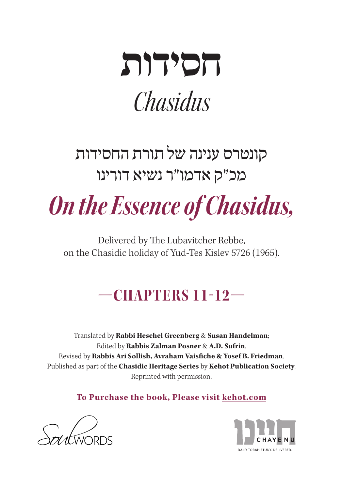

# קונטרס ענינה של תורת החסידות מכ"ק אדמו"ר נשיא דורינו

**On the Essence of Chasidus,** 

Delivered by The Lubavitcher Rebbe, on the Chasidic holiday of Yud-Tes Kislev 5726 (1965).

# **—11-12 CHAPTERS—**

Translated by Rabbi Heschel Greenberg & Susan Handelman; Edited by **Rabbis Zalman Posner & A.D. Sufrin.** Revised by Rabbis Ari Sollish, Avraham Vaisfiche & Yosef B. Friedman. Published as part of the **Chasidic Heritage Series** by **Kehot Publication Society**. Reprinted with permission.

**To Purchase the book, Please visit kehot.com** 



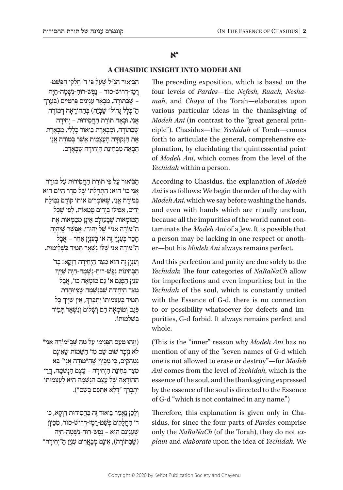## **יא**

#### **A CHASIDIC INSIGHT INTO MODEH ANI**

ּ הַבִּיאוּר הַנַ״ל שַׁעַל פִּי ד׳ חֵלְקֵי הַפִּשַׁט-ְ ּ רֶ מֶ ז-ד ּ ְ רו ׁש ֹ -סו ׁ ד – נֶ פֶ ש ּ -רו ׁ חַ -נְ ש ּ ָ מָ ה-חַ יָה ׁ– ש ּ ֶ בַּ תֹו ּ רָ ה, מְ בָ אֵ ר עִ נְ יָנִ ים פְּ רָ טִ יִים )בְּ עֶ רֶ ך ּהַ "כ ּ ְ לָ ל ג ֹ ָ דו ׁ ל" ש ֶֹ בָּ זֶה( בְּ הַ הו ֹ דָ אָ ה דְ מודֶ ה  $i$ אֲנִי. וּבָאָה תּוֹרַת הַחֲסִידוּת – יְחִידַה ְשֵׁבַּתּוֹרָה, וּמְבָאֱרֵת בֵּיאוּר כִּלָלִי, מִבָאֱרֵת ּ אֶ ת הַ נ ּ ְ קו ּד ׁ ָ ה הָ עַ צְ מִ ית אֲ ש ֹ ֶ ר בְּ מודֶ ה אֲ נִ י הַבָּאָה מִבְּחִינַת הַיְחִידָה שֶׁבָּאָדָם.

ּ הַ בֵּ יאו ּ ר עַ ל פִּ י תֹו ּ רַ ת הַ חֲ סִ ידו ֹ ת עַ ל מודֶ ה ּ אֲ נִ י כו' הו ֹ א: הַ תְ חָ לָ תו ׁ ש ֶּ ל סֵ דֶ ר הַ יֹו ּ ם הוא בְּמוֹדֶה אֲנִי, שֵׁאוֹמְרִים אוֹתוֹ קוֹדֶם נְטִילַת יִדִים, אַפִּילו בִּידִים טַמְאוֹת, לִפִּי שַׁכֵּל ַ הַטּוּמְאוֹת שַׁבַּעוֹלָם אֵינַן מִטַמְאוֹת אֶת הַ "מּוֹדָה אֲנִי" שֵׁל יְהוּדִי. אֶפְשֶׁר שֵׁיּהָיֶה ֿ חָםֵר בְּעָנְיַן זֶה אוֹ בְּעָנְיַן אַחֵר – אֲבָל ּהַ "מֹו ׁ דֶ ה אֲ נִ י ש ּ ֶ לֹו ׁ נִ ש ְּ אָ ר ת ָׁ מִ יד בִּ ש ְּ לֵ ימות.

**וְעָנְיָן זֶה הוּא מִצַּד הַיִחְידָה דַוְקָא: בִּד'** ּ הַבְּחִינוֹת נֵפְשׁ-רוּחַ-נְשָׁמַה-חַיַּה שַׁיַּיִך ֿ עִנְיַן הַפְּנֵם אוֹ גַם טוּמְאָה כו׳, אֲבָל ּמִ צ ׁ ַ ד הַ יְחִ ידָ ה ש ֶּ בַּ נ ׁ ְ ש ָׁ מָ ה ש ֶּ מ ְּ יוחֶ דֶ ת ְהָמִיד בְּעַצְמוּתוֹ יִתְבְּרֵךָ, אֵין שַׁיָּיךָ כָּל ְּ פְּ גַ ם וְ טו ׁ מְ אָ ה חַ ס וְ ש ָֹ לו ׁ ם וְ נִ ש ְּ אָ ר תָ מִ יד בשלמוּתוֹ.

וֹזֶהוּ טַעַם הַפְּנִימִי עַל מַה שַׁבְּ"מוֹדֶה אֲנִי" ( לֹא נִזְכָּר שׁוּם שֵׁם מִז' הַשֵּׁמוֹת שֵׁאֵינָם ִ נִ מְ חָ ק ּ ים, כ ִּ י מִ כ ֵׁ יוָ ן ש ּ ֶ הַ "מֹודֶ ה אֲ נִ י" בָּ א ּמְצֵד בְּחִינַת הַיִחְידָה – עֲצֵם הַנְּשׁמָה, הֲרֵי ֿהַהוֹדַאָה שֶׁל עֲצֶם הַגָּשָׁמֵה הִיא לְעַצְמוּתוֹ ְיִתְבְּרֵךְ ״דְלָא אִתְּפַם בְּשֵׁם״).

וְלָכֵן נֵאֲמַר בִּיאוּר זֶה בַּחֲסִידוּת דַּוְקָא, כִּי ִ ד' הַ חֲ לָ ק ׁ ים פְּ ש ּ ַ ט-רֶ מֶ ז-ד ּ ְ רו ׁש ֹ -סו ּ ד, מִ כֵ יוָ ן ֿשֵׁעָנְיָנָם הוּא – נֶפֶשׁ-רוּחַ-נִשָּׁמָה-חַיָּה שׁ בַּתּוֹרָה), אִינָם מְבָאֲרים עָנְיַן הַ"יְחִידַה") The preceding exposition, which is based on the mah, and *Chaya* of the Torah-elaborates upon four levels of Pardes-the Nefesh, Ruach, Neshavarious particular ideas in the thanksgiving of ciple"). Chasidus—the *Yechidah* of Torah—comes *Modeh Ani* (in contrast to the "great general prinplanation, by elucidating the quintessential point forth to articulate the general, comprehensive exof *Modeh Ani*, which comes from the level of the *Yechidah* within a person.

According to Chasidus, the explanation of *Modeh* Ani is as follows: We begin the order of the day with Modeh Ani, which we say before washing the hands, and even with hands which are ritually unclean, taminate the *Modeh Ani* of a Jew. It is possible that because all the impurities of the world cannot coner-but his Modeh Ani always remains perfect. a person may be lacking in one respect or anoth-

And this perfection and purity are due solely to the *Yechidah*: The four categories of NaRaNaCh allow for imperfections and even impurities; but in the Yechidah of the soul, which is constantly united with the Essence of G-d, there is no connection purities, G-d forbid. It always remains perfect and to or possibility whatsoever for defects and imwhole.

(This is the "inner" reason why *Modeh Ani* has no mention of any of the "seven names of G-d which one is not allowed to erase or destroy"-for Modeh Ani comes from the level of *Yechidah*, which is the essence of the soul, and the thanksgiving expressed by the essence of the soul is directed to the Essence of G-d "which is not contained in any name.")

sidus, for since the four parts of *Pardes* comprise Therefore, this explanation is given only in Cha*plain* and *elaborate* upon the idea of *Yechidah*. We only the NaRaNaCh (of the Torah), they do not ex-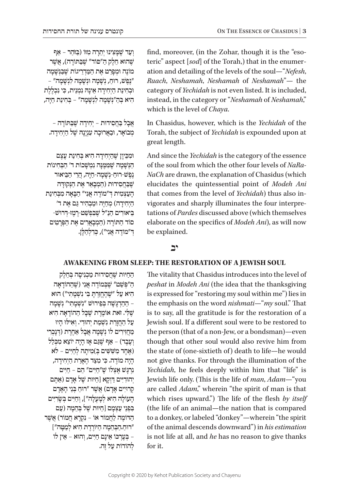ׁ וְ עַ ד ש ּ ֶ מ ָּ צִ ינו ּ יְתֵ רָ ה מִ זֹו ּ )בַּ זֹהַ ר – אַ ף שהוּא חֵלֵק הַ"סוֹד" שֵׁבַּתּוֹרָה), אֲשֶׁר מוֹנֶה וּמְפָרֵט אֶת הַמַּדְרֵיגוֹת שֶׁבַּנְשָׁמָה "נֶפֶשׁ, רוּחַ, נְשַׁמַה וּנְשָׁמַה לִנְשַׁמַה" – ּו ּ בְ חִ ינַ ת הַ יְחִ ידָ ה אֵ ינָ ה ּ נִ מְ נֵ ית, כִ י נִ כְ לֶ לֶ ת ּ הִ יא בְּ הַ "נ ׁ ְ ש ׁ ָ מָ ה לִ נְ ש ָּ מָ ה" – בְּ חִ ינַ ת חַ יָה,

ּ אֲבָל בַּחֲסִידוּת – יְחִידֵה שֵׁבַּתּוֹרֵה – ֹמְ בו ּ אָ ר, ו ּ בַ אֲ רו ּ כָ ה עִ נְ יָנָ ה ׁ שֶ ל הַ יְחִ ידָ ה.

ּו ּמִ כ ֵׁ יוָ ן שֶ הַ יְחִ ידָ ה הִ יא בְּ חִ ינַ ת עֶ צֶ ם הַ נְשָׁמָה שֶׁמִּמֶּנָה נִמְשָׁכוֹת ד' הַבְּחִינוֹת ׁ נֶ פֶ ש ּ -רו ׁ חַ -נְ ש ּ ָ מָ ה-חַ י ּ ָה, הֲ רֵ י הַ בֵּ יאור שִׁבַּחֲסִידוּת (הַמְבָאֵר אֵת הַנִּקוּדָּה הַעַצְמִית דִּ "מוֹדֵה אֲנִי" הַבַּאַה מִבְּחִינַת הַיְחִידָה) מְחַיֶּה וּמַבְהִיר גַּם אֶת ד' ּ בֵּיאוּרִים הַנַ״ל שֵׁבִּפְשַׁט-רֵמֵז-דִּרוּשׁ-ְסוֹד הַתּוֹרָה (הַמְבָאֲרִים אֶת הַפְּרָטִים ּד ֹ ְ "מו ּ דֶ ה אֲ נִ י"(, כ ְּ דִ לְ הַ לָ ן.

ation and detailing of the levels of the soul—"Nefesh, teric" aspect [sod] of the Torah,) that in the enumerfind, moreover, (in the Zohar, though it is the "eso-Ruach, *Neshamah*, *Neshamah* of *Neshamah*"- the category of Yechidah is not even listed. It is included, instead, in the category or "Neshamah of Neshamah," which is the level of *Chaya*.

In Chasidus, however, which is the *Yechidah* of the Torah, the subject of Yechidah is expounded upon at great length.

And since the Yechidah is the category of the essence *NaCh* are drawn, the explanation of Chasidus (which of the soul from which the other four levels of NaRaelucidates the quintessential point of Modeh Ani tations of *Pardes* discussed above (which themselves vigorates and sharply illuminates the four interprethat comes from the level of *Yechidah*) thus also inelaborate on the specifics of *Modeh Ani*), as will now be explained.

## **יב**

#### AWAKENING FROM SLEEP: THE RESTORATION OF A JEWISH SOUL

ּ הַ חַ י ּו ׁת ש ֶּ חֲ סִ ידות מַ כְ נִ יסָ ה בְּ חֵ לֶ ק ָהַ "פִּשָּׁם" שֵׁבְּמוֹדֶה אֲנִי (שֶׁהַהוֹדָאָה ׁ הִ יא עַ ל "ש ּ ֶ הֶ חֱ זַרְ ת ָׁ בִּ י נִ ש ְּ מָ תִ י"( הוא – הַהַדְגַּשָׁה בִּפֵירוּשׁ "נִשְׁמָתִי" נִשָּׁמָה ֿשֵׁלִי. זֹאת אוֹמֱרֶת שֶׁכֵּל הַהוֹדֵאָה הִיא ֿ עַל הַחֲזֵרת נִשְׁמַת יְהוּדִי. וְאִילוּ הַיוּ ֹמְחֵזִירִים לו גְשָׁמָה אֲבָל אַחֱרָת (דִּנַכְרִי וְ עָבֶר) – אַף שַׁגַּם אַז הַיָה יוֹצֵא מִכְלַל  $\langle$ אֲחָד מִשְׁשִׁים בְּ)מִיתַה לְחַיִּים – לֹא ֹ הָ יָה מו ּ דֶ ה. כ ִּ י מִ צַ ד הֶ אָ רַ ת הַ יְחִ ידָ ה, ּ נִ רְ ג ׁ ָ ש ֹ אֶ צְ לו ׁ ש ּ ֶ "חַ י ּ ִים" הֵ ם – חַ יִים יְהוּדִיִּים דַּיְקַא [חַיּוּת שֵׁל אַדַם (אַתֵּם קרוּיִים אָדָם) אֲשֶׁר ״רוּחַ בְּנֵי הָאָדָם ֹהָעוֹלָה הִיא לְמָעָלָה"], וְחַיִּים בְּשָׂרִיִּים בְּפְנֵי עַצְמָם [חַיּוּת שֵׁל בְּהֵמָה (עַם ּהַ דֹו ֹ מֶ ה לַ חֲ מו ֹ ר או ְ – נִ ק ֹ רָ א חֲ מו ׁ ר( אֲ שֶ ר ּ "רו ּ חַ .הַ בְּ הֵ מָ ה הַ יֹו ּ רֶ דֶ ת הִ יא לְ מַ טָ ה"[ ּ – בְּ עֶ רְ כֹו ּ אֵ ינָ ם חַ י ִּים, וְ הו ֹ א – אֵ ין לו לְהוֹדוֹת עַל זֶה.

The vitality that Chasidus introduces into the level of thanksgiving thanksgiving thanksgiving the thanksgiving is expressed for "restoring my soul within me") lies in the emphasis on the word *nishmati*—"*my* soul." That is to say, all the gratitude is for the restoration of a Jewish soul. If a different soul were to be restored to the person (that of a non-Jew, or a bondsman)—even though that other soul would also revive him from the state of (one-sixtieth of) death to life-he would not give thanks. For through the illumination of the *Yechidah*, he feels deeply within him that "life" is Jewish life only. (This is the life of *man*, *Adam*—"you are called *Adam*," wherein "the spirit of man is that which rises upward.") The life of the flesh by itself (the life of an animal—the nation that is compared to a donkey, or labeled "donkey"—wherein "the spirit *estimation* of the animal descends downward") in his estimation is not life at all, and *he* has no reason to give thanks for it.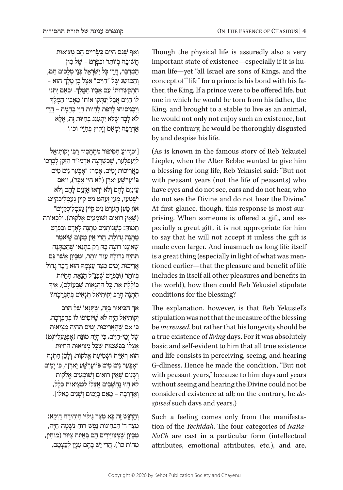ׁ וְ אַ ף שּ ֶ ג ּ ַ ם חַ י ׂ ִים בְּ ש ּ ָ רִ י ּ ִים הֵ ם מְ צִ יאות ׁחֲ שּו ֹ בָ ה בְּ יו ּ תֵ ר ו ׁ בִ פְ רָ ט – שֶ ל מִ ין הַמְדַבֵּר, הֲרֵי כַּל יְשָׂרַאֵל בְּנֵי מְלַכִים הֵם, ְּ וְהַמּוּשָׂג שֶׁל "חַיִּים" אֵצֶל בֶּן מֶלֶדְ הוּא ְהִתְקַשְּׁרוּתוֹ עָם אָבִיו הַמֶּלֶדּ. וּבְאִם יִתְּנוּ<br>לו חיית אבל יוסקו אותו מאביו המלד ֹלוֹ חַיִּים אֲבָל יְנַתְּקוּ אוֹתוֹ מֵאֲבִיו הַמֵּלֵךְ ּ וְ יַכְ נִ יסו ּהו ֹ לְ רֶ פֶ ת לִ חְ יו ּ ת חַ יֵי בְ הֵ מָ ה – הֲ רֵ י לֹא לְבָד שֶׁלֹּא יְתְעָנֶג בְּחַיּוּת זֶה, אֱלֵא ּאַ ד ּ ְ רַ בָּ ה יִמְ אַ ס וְ יָקו ּ ץ בְּ חַ יָיו וכו.'

וּכְיָדוּעַ הַסִּיפּוּר מֵהֶחָסִיד רַבְּי יִקוּתִיאֵל] לְיֶעפְּלֶעָר, שֶׁכִּשְרַצָה אֲדְמוּ״ר הַזַּקֵן לְבָרְכוֹ בַּאֲרִיכוּת יַמִים, אָמֵר: "אַבֵּעַר נִיט מִיט ָפּוֹיעֵרִישֵׁע יָארִן (לֹא חַיֵּי אָכֶר), ווָאס עֵ ינַ יִם לָ הֶ ם וְ לֹ ּ א יִרְ או אָ זְנַ יִם לָ הֶ ם וְ לֹא יִשְׁמְעַוּ, מֵעַן זֶעָהט נִיט קֵיין גֵעַטְלִיכְקַיִיט ּאו ֵ ן מֶ ען הֶ ערְ ט נִ יט ק ַ יין גֶ עטְ לִ יכְ קיְיט" ֿוֹשֵׁאֵין רוֹאִים וְשׁוֹמְעִים אֱלֹקוּת). וְלִכְאוֹרָה ּת ּ ָ מו ּה ַּ : כ ְׁ שּ ֶ נֹו ּ תְ נִ ים מַ ת ָּ נָ ה לָ אָ דָ ם ובִ פְ רָ ט ּמַתָּנָה גְדוֹלָה, הֲרֵי אֵין מָקוֹם שֵׁי<sub>ּ</sub>ֹאמַר שֹׁאֵינֵנּוּ רוֹצֵה בָּה רַק בִּתְנַאי שֶׁהַמַּתְּנָה ֿתְּהִיֶה גְדוֹלָה עוֹד יוֹתֵר, וּמִכֵּיוָן אֲשֶׁר גַּם ֿ אֲרִיכוּת יָמִים מְצַד עַצְמָהּ הוּא דָבָר גָּדוֹל בְּיוֹתֵר (וּבְפְרַט שֶׁכֵּנַ״ל הֲנָאֵת הַחַיּוּת  $\epsilon$ כּוֹלֶלֶת אֶת כַּל הַהֲנֵאוֹת שֶׁבַּעוֹלַם), אֵיך ּ הִ תְ נָ ה הָ רַ ב יְקו ּ תִ יאֵ ל תְ נָ אִ ים בְּ הַ בְּ רָ כָ ה?

ְּאַךְ הַבֵּיאוּר בְּזֶה, שֶׁתְּנָאוֹ שֶׁל הָרַב ּ יְקותִ יאֵ ל הָ יָה לֹ ׁא שֶּ יֹו ּ סִ יפו ֹ לו בְּ הַ בְּ רָ כָ ה, ּכ ׁ ִ י אִ ם ש ֶּ הָ אֲ רִ יכו ּ ת יָמִ ים ת ִּ הְ יֶה מְ צִ יאות ֿשֵׁל יְמֵי-חַיִּים. כִּי הַיָה מוּנַח (אַפְּגֶעלֵייגְט) אֶצְלוֹ בְּפַ<sup>ּ</sup>שָׁטוּת שֶׁכֶּל מְצִיאוּת הַחַיּוּת הוּא רִאְיַּית וּשְׁמִיעַת אֱלֹקוּת. וְלָכֵן הָתִנָּה אָבֶּעַר נִיט מִיט פּוֹיעֶרְשֶׁע יָארְן", כִּי יָמִים וְשָׁנִים שֶׁאֵין רוֹאִים וְשׁוֹמְעִים אֱלֹקוּת לֹא הָיוּ נֵחְשָׁבִים אֱצְלוֹ לִמְצִיאוּת כִּלָל, וְאַדְרַבָּה – מֵאֵם בְּיָמִים וְשַׁנִים כַּאֵלוּ].

ּ וְ הֶ רְ ג ׁ ֵ ש ּ זֶה בָּ א מִ צ ּ ַ ד ג ִּ יל ּו ָ י הַ יְחִ ידָ ה דַ וְ קא: ּמִ צ ֹ ַ ד ד' הַ בְּ חִ ינו ׁ ת נֶ פֶ ש ּ -רו ׁ חַ -נְ ש ָּ מָ ה-חַ יָה, ּמְבֵיוָן שֵׁמָצוּיַיִרִים הֵם בְּאֵיזֶה צִיּוּר (מוֹחִין, ּמִדּוֹת כו'), הֲרֵי יֵשׁ בַּהֶם עָנְיַן לְעַצְמַם, Though the physical life is assuredly also a very man life-yet "all Israel are sons of Kings, and the important state of existence—especially if it is huther, the King. If a prince were to be offered life, but concept of "life" for a prince is his bond with his faone in which he would be torn from his father, the King, and brought to a stable to live as an animal, he would not only not enjoy such an existence, but on the contrary, he would be thoroughly disgusted by and despise his life.

(As is known in the famous story of Reb Yekusiel Liepler, when the Alter Rebbe wanted to give him a blessing for long life, Reb Yekusiel said: "But not with peasant years (not the life of peasants) who have eyes and do not see, ears and do not hear, who do not see the Divine and do not hear the Divine." pecially a great gift, it is not appropriate for him prising. When someone is offered a gift, and es-At first glance, though, this response is most surto say that he will not accept it unless the gift is made even larger. And inasmuch as long life itself tioned earlier—that the pleasure and benefit of life is a great thing (especially in light of what was menincludes in itself all other pleasures and benefits in the world), how then could Reb Yekusiel stipulate conditions for the blessing?

The explanation, however, is that Reb Yekusiel's stipulation was not that the measure of the blessing be *increased*, but rather that his longevity should be a true existence of *living* days. For it was absolutely basic and self-evident to him that all true existence and life consists in perceiving, seeing, and hearing G-dliness. Hence he made the condition, "But not with peasant years," because to him days and years without seeing and hearing the Divine could not be considered existence at all; on the contrary, he *despised* such days and years.)

 $NaCh$  are cast in a particular form (intellectual tion of the *Yechidah*. The four categories of NaRa-Such a feeling comes only from the manifestaattributes, emotional attributes, etc.), and are,